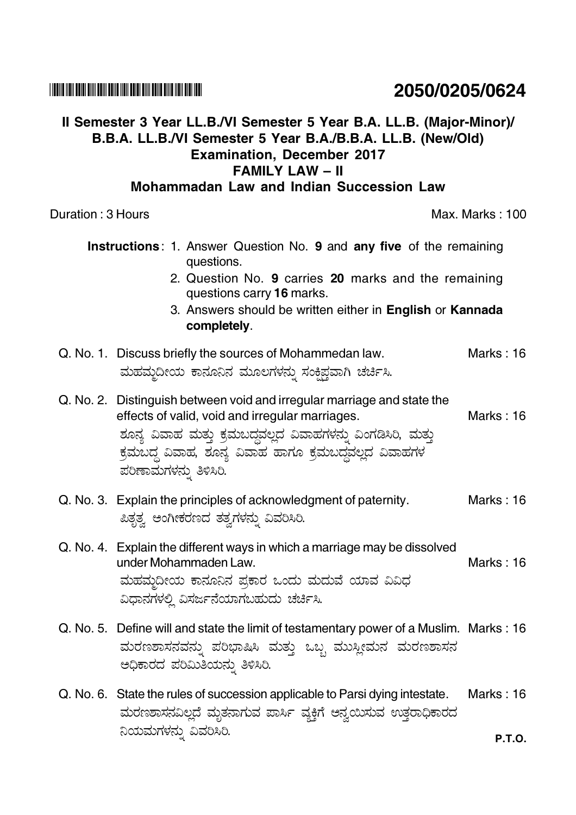### <u> I ITTIIN IITII BOOD BIIII BOOD BOOD IIDII BOOD BIIII BOIID BIIID IIDII BOOD IIDI</u>

## Il Semester 3 Year LL.B./VI Semester 5 Year B.A. LL.B. (Major-Minor)/ B.B.A. LL.B./VI Semester 5 Year B.A./B.B.A. LL.B. (New/Old) **Examination, December 2017 FAMILY LAW - II**

### Mohammadan Law and Indian Succession Law

Duration: 3 Hours

 $Q_{\cdot}$ 

 $\Omega$ 

 $Q_{\cdot}$ 

| <b>Instructions: 1. Answer Question No. 9 and any five of the remaining</b><br>questions.                                                                                                                                                                                    |                  |  |
|------------------------------------------------------------------------------------------------------------------------------------------------------------------------------------------------------------------------------------------------------------------------------|------------------|--|
| 2. Question No. 9 carries 20 marks and the remaining<br>questions carry 16 marks.<br>3. Answers should be written either in English or Kannada                                                                                                                               |                  |  |
| completely.                                                                                                                                                                                                                                                                  |                  |  |
| No. 1. Discuss briefly the sources of Mohammedan law.<br>ಮಹಮ್ತದೀಯ ಕಾನೂನಿನ ಮೂಲಗಳನ್ನು ಸಂಕ್ಷಿಪ್ಗವಾಗಿ ಚರ್ಚಿಸಿ.                                                                                                                                                                   | Marks: 16        |  |
| No. 2. Distinguish between void and irregular marriage and state the<br>effects of valid, void and irregular marriages.<br>ಶೂನ್ಯ ವಿವಾಹ ಮತ್ತು ಕ್ರಮಬದ್ಧವಲ್ಲದ ವಿವಾಹಗಳನ್ನು ವಿಂಗಡಿಸಿರಿ, ಮತ್ತು<br>ಕ್ರಮಬದ್ಧ ವಿವಾಹ, ಶೂನ್ಯ ವಿವಾಹ ಹಾಗೂ ಕ್ರಮಬದ್ಧವಲ್ಲದ ವಿವಾಹಗಳ<br>ಪರಿಣಾಮಗಳನ್ನು ತಿಳಿಸಿರಿ. | <b>Marks: 16</b> |  |
| No. 3. Explain the principles of acknowledgment of paternity.<br>ಪಿತೃತ್ವ ಅಂಗೀಕರಣದ ತತ್ವಗಳನ್ನು ವಿವರಿಸಿರಿ.                                                                                                                                                                      | <b>Marks: 16</b> |  |

- Q. No. 4. Explain the different ways in which a marriage may be dissolved under Mohammaden Law. Marks: 16 ಮಹಮ್ಮದೀಯ ಕಾನೂನಿನ ಪ್ರಕಾರ ಒಂದು ಮದುವೆ ಯಾವ ವಿವಿಧ ವಿಧಾನಗಳಲ್ಲಿ ವಿಸರ್ಜನೆಯಾಗಬಹುದು ಚರ್ಚಿಸಿ.
- Q. No. 5. Define will and state the limit of testamentary power of a Muslim. Marks: 16 ಮರಣಶಾಸನವನ್ನು ಪರಿಭಾಷಿಸಿ ಮತ್ತು ಒಬ್ಬ ಮುಸ್ಲೀಮನ ಮರಣಶಾಸನ ಅಧಿಕಾರದ ಪರಿಮಿತಿಯನ್ನು ತಿಳಿಸಿರಿ.
- Q. No. 6. State the rules of succession applicable to Parsi dying intestate. Marks: 16 ಮರಣಶಾಸನವಿಲ್ಲದೆ ಮೃತನಾಗುವ ಪಾರ್ಸಿ ವ್ಯಕ್ತಿಗೆ ಅನ್ವಯಿಸುವ ಉತ್ತರಾಧಿಕಾರದ ನಿಯಮಗಳನ್ನು ವಿವರಿಸಿರಿ.

# 2050/0205/0624

Max. Marks: 100

- -

**P.T.O.**